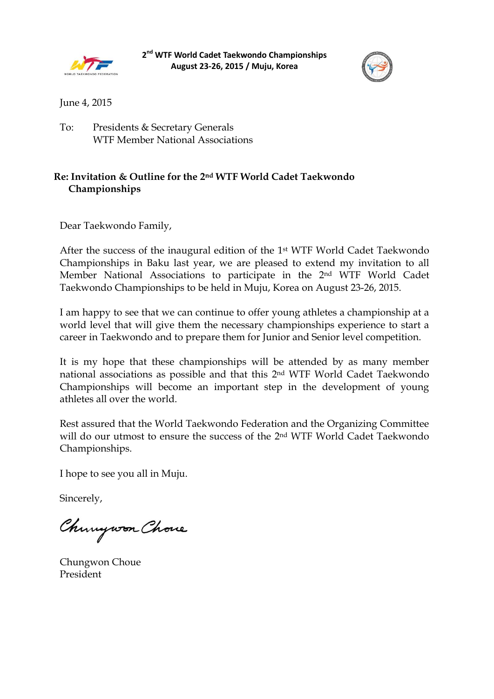



June 4, 2015

To: Presidents & Secretary Generals WTF Member National Associations

# **Re: Invitation & Outline for the 2nd WTF World Cadet Taekwondo Championships**

Dear Taekwondo Family,

After the success of the inaugural edition of the 1st WTF World Cadet Taekwondo Championships in Baku last year, we are pleased to extend my invitation to all Member National Associations to participate in the 2nd WTF World Cadet Taekwondo Championships to be held in Muju, Korea on August 23-26, 2015.

I am happy to see that we can continue to offer young athletes a championship at a world level that will give them the necessary championships experience to start a career in Taekwondo and to prepare them for Junior and Senior level competition.

It is my hope that these championships will be attended by as many member national associations as possible and that this 2nd WTF World Cadet Taekwondo Championships will become an important step in the development of young athletes all over the world.

Rest assured that the World Taekwondo Federation and the Organizing Committee will do our utmost to ensure the success of the 2nd WTF World Cadet Taekwondo Championships.

I hope to see you all in Muju.

Sincerely,

Chungwon Chove

Chungwon Choue President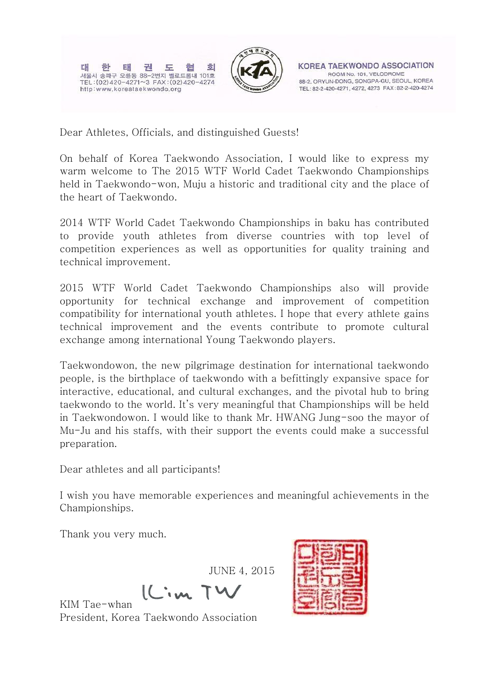



ROOM No. 101, VELODROME 88-2, ORYUN-DONG, SONGPA-GU, SEOUL, KOREA TEL: 82-2-420-4271, 4272, 4273 FAX: 82-2-420-4274

Dear Athletes, Officials, and distinguished Guests!

On behalf of Korea Taekwondo Association, I would like to express my warm welcome to The 2015 WTF World Cadet Taekwondo Championships held in Taekwondo-won, Muju a historic and traditional city and the place of the heart of Taekwondo.

2014 WTF World Cadet Taekwondo Championships in baku has contributed to provide youth athletes from diverse countries with top level of competition experiences as well as opportunities for quality training and technical improvement.

2015 WTF World Cadet Taekwondo Championships also will provide opportunity for technical exchange and improvement of competition compatibility for international youth athletes. I hope that every athlete gains technical improvement and the events contribute to promote cultural exchange among international Young Taekwondo players.

Taekwondowon, the new pilgrimage destination for international taekwondo people, is the birthplace of taekwondo with a befittingly expansive space for interactive, educational, and cultural exchanges, and the pivotal hub to bring taekwondo to the world. It's very meaningful that Championships will be held in Taekwondowon. I would like to thank Mr. HWANG Jung-soo the mayor of Mu-Ju and his staffs, with their support the events could make a successful preparation.

Dear athletes and all participants!

I wish you have memorable experiences and meaningful achievements in the Championships.

Thank you very much.

JUNE 4, 2015

IL'im TW KIM Tae-whan President, Korea Taekwondo Association

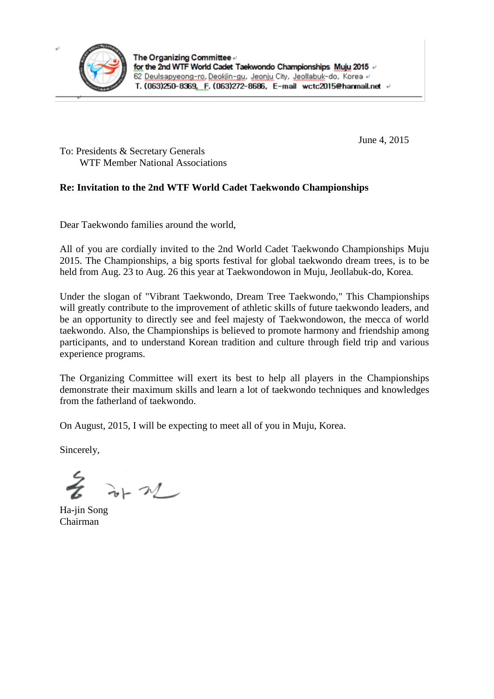

June 4, 2015

# To: Presidents & Secretary Generals WTF Member National Associations

# **Re: Invitation to the 2nd WTF World Cadet Taekwondo Championships**

Dear Taekwondo families around the world,

All of you are cordially invited to the 2nd World Cadet Taekwondo Championships Muju 2015. The Championships, a big sports festival for global taekwondo dream trees, is to be held from Aug. 23 to Aug. 26 this year at Taekwondowon in Muju, Jeollabuk-do, Korea.

Under the slogan of "Vibrant Taekwondo, Dream Tree Taekwondo," This Championships will greatly contribute to the improvement of athletic skills of future taekwondo leaders, and be an opportunity to directly see and feel majesty of Taekwondowon, the mecca of world taekwondo. Also, the Championships is believed to promote harmony and friendship among participants, and to understand Korean tradition and culture through field trip and various experience programs.

The Organizing Committee will exert its best to help all players in the Championships demonstrate their maximum skills and learn a lot of taekwondo techniques and knowledges from the fatherland of taekwondo.

On August, 2015, I will be expecting to meet all of you in Muju, Korea.

Sincerely,

 $\rightarrow +2$ 

Ha-jin Song Chairman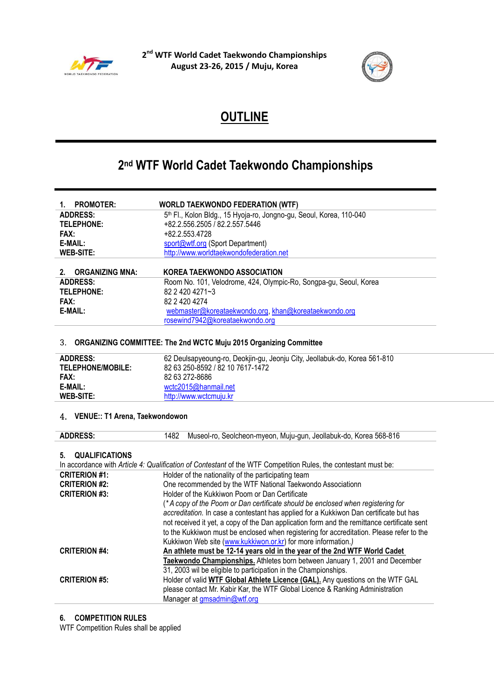



# **OUTLINE**

# **2 nd WTF World Cadet Taekwondo Championships**

| <b>PROMOTER:</b><br>1.       | <b>WORLD TAEKWONDO FEDERATION (WTF)</b>                                   |
|------------------------------|---------------------------------------------------------------------------|
| <b>ADDRESS:</b>              | 5th Fl., Kolon Bldg., 15 Hyoja-ro, Jongno-gu, Seoul, Korea, 110-040       |
| TELEPHONE:                   | +82.2.556.2505 / 82.2.557.5446                                            |
| <b>FAX:</b>                  | +82.2.553.4728                                                            |
| E-MAIL:                      | sport@wtf.org (Sport Department)                                          |
| <b>WEB-SITE:</b>             | http://www.worldtaekwondofederation.net                                   |
|                              |                                                                           |
| <b>ORGANIZING MNA:</b><br>2. | <b>KOREA TAEKWONDO ASSOCIATION</b>                                        |
| <b>ADDRESS:</b>              | Room No. 101, Velodrome, 424, Olympic-Ro, Songpa-gu, Seoul, Korea         |
| TELEPHONE:                   | 82 2 420 4271~3                                                           |
| <b>FAX:</b>                  | 82 2 4 2 0 4 2 7 4                                                        |
| E-MAIL:                      | webmaster@koreataekwondo.org, khan@koreataekwondo.org                     |
|                              | rosewind7942@koreataekwondo.org                                           |
| 3.                           | <b>ORGANIZING COMMITTEE: The 2nd WCTC Muju 2015 Organizing Committee</b>  |
| <b>ADDRESS:</b>              | 62 Deulsapyeoung-ro, Deokjin-gu, Jeonju City, Jeollabuk-do, Korea 561-810 |

| FAX:             | 82 63 272-8686         |
|------------------|------------------------|
| E-MAIL:          | wctc2015@hanmail.net   |
| <b>WEB-SITE:</b> | http://www.wctcmuju.kr |

# 4. **VENUE:: T1 Arena, Taekwondowon**

**ADDRESS:** 1482 Museol-ro, Seolcheon-myeon, Muju-gun, Jeollabuk-do, Korea 568-816

#### **5. QUALIFICATIONS**

|                      | In accordance with Article 4: Qualification of Contestant of the WTF Competition Rules, the contestant must be: |
|----------------------|-----------------------------------------------------------------------------------------------------------------|
| <b>CRITERION #1:</b> | Holder of the nationality of the participating team                                                             |
| <b>CRITERION #2:</b> | One recommended by the WTF National Taekwondo Associationn                                                      |
| <b>CRITERION #3:</b> | Holder of the Kukkiwon Poom or Dan Certificate                                                                  |
|                      | (*A copy of the Poom or Dan certificate should be enclosed when registering for                                 |
|                      | accreditation. In case a contestant has applied for a Kukkiwon Dan certificate but has                          |
|                      | not received it yet, a copy of the Dan application form and the remittance certificate sent                     |
|                      | to the Kukkiwon must be enclosed when registering for accreditation. Please refer to the                        |
|                      | Kukkiwon Web site (www.kukkiwon.or.kr) for more information.)                                                   |
| <b>CRITERION #4:</b> | An athlete must be 12-14 years old in the year of the 2nd WTF World Cadet                                       |
|                      | Taekwondo Championships. Athletes born between January 1, 2001 and December                                     |
|                      | 31, 2003 wil be eligible to participation in the Championships.                                                 |
| <b>CRITERION #5:</b> | Holder of valid WTF Global Athlete Licence (GAL). Any questions on the WTF GAL                                  |
|                      | please contact Mr. Kabir Kar, the WTF Global Licence & Ranking Administration                                   |
|                      | Manager at gmsadmin@wtf.org                                                                                     |

#### **6. COMPETITION RULES**

WTF Competition Rules shall be applied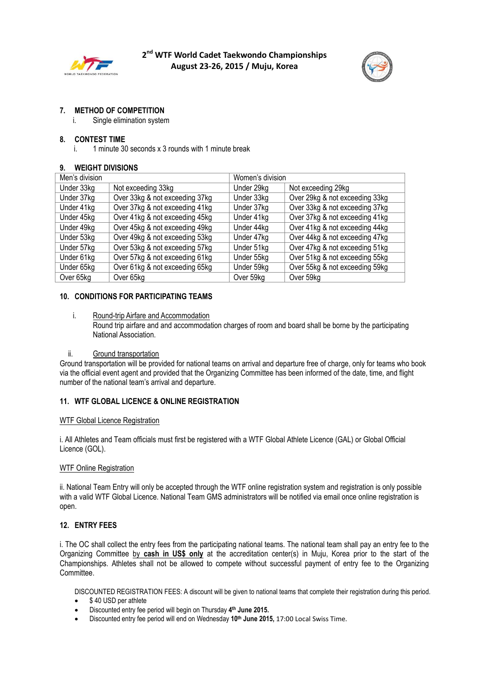



#### **7. METHOD OF COMPETITION**

i. Single elimination system

#### **8. CONTEST TIME**

i. 1 minute 30 seconds x 3 rounds with 1 minute break

#### **9. WEIGHT DIVISIONS**

| Men's division |                                | Women's division |                                |  |
|----------------|--------------------------------|------------------|--------------------------------|--|
| Under 33kg     | Not exceeding 33kg             | Under 29kg       | Not exceeding 29kg             |  |
| Under 37kg     | Over 33kg & not exceeding 37kg | Under 33kg       | Over 29kg & not exceeding 33kg |  |
| Under 41kg     | Over 37kg & not exceeding 41kg | Under 37kg       | Over 33kg & not exceeding 37kg |  |
| Under 45kg     | Over 41kg & not exceeding 45kg | Under 41kg       | Over 37kg & not exceeding 41kg |  |
| Under 49kg     | Over 45kg & not exceeding 49kg | Under 44kg       | Over 41kg & not exceeding 44kg |  |
| Under 53kg     | Over 49kg & not exceeding 53kg | Under 47kg       | Over 44kg & not exceeding 47kg |  |
| Under 57kg     | Over 53kg & not exceeding 57kg | Under 51kg       | Over 47kg & not exceeding 51kg |  |
| Under 61kg     | Over 57kg & not exceeding 61kg | Under 55kg       | Over 51kg & not exceeding 55kg |  |
| Under 65kg     | Over 61kg & not exceeding 65kg | Under 59kg       | Over 55kg & not exceeding 59kg |  |
| Over 65kg      | Over 65kg                      | Over 59kg        | Over 59kg                      |  |

#### **10. CONDITIONS FOR PARTICIPATING TEAMS**

i. Round-trip Airfare and Accommodation Round trip airfare and and accommodation charges of room and board shall be borne by the participating National Association.

#### ii. Ground transportation

Ground transportation will be provided for national teams on arrival and departure free of charge, only for teams who book via the official event agent and provided that the Organizing Committee has been informed of the date, time, and flight number of the national team's arrival and departure.

#### **11. WTF GLOBAL LICENCE & ONLINE REGISTRATION**

#### WTF Global Licence Registration

i. All Athletes and Team officials must first be registered with a WTF Global Athlete Licence (GAL) or Global Official Licence (GOL).

#### WTF Online Registration

ii. National Team Entry will only be accepted through the WTF online registration system and registration is only possible with a valid WTF Global Licence. National Team GMS administrators will be notified via email once online registration is open.

#### **12. ENTRY FEES**

i. The OC shall collect the entry fees from the participating national teams. The national team shall pay an entry fee to the Organizing Committee by **cash in US\$ only** at the accreditation center(s) in Muju, Korea prior to the start of the Championships. Athletes shall not be allowed to compete without successful payment of entry fee to the Organizing Committee.

DISCOUNTED REGISTRATION FEES: A discount will be given to national teams that complete their registration during this period.

- \$40 USD per athlete
- Discounted entry fee period will begin on Thursday **4 th June 2015.**
- Discounted entry fee period will end on Wednesday **10th June 2015,** 17:00 Local Swiss Time.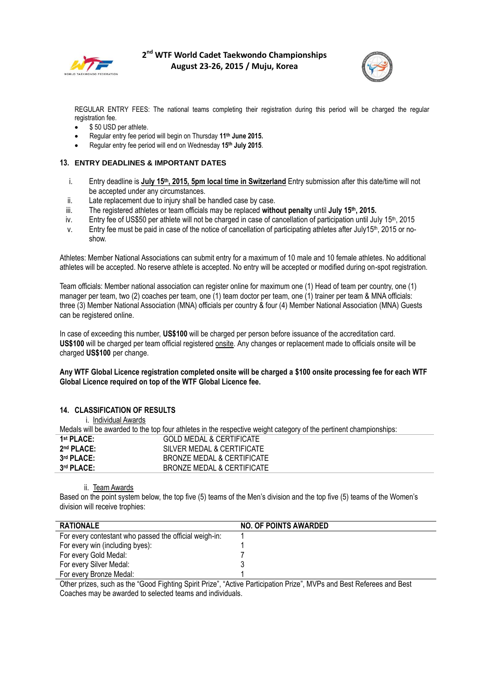



REGULAR ENTRY FEES: The national teams completing their registration during this period will be charged the regular registration fee.

- $\bullet$  \$ 50 USD per athlete.
- Regular entry fee period will begin on Thursday **11th June 2015.**
- Regular entry fee period will end on Wednesday **15th July 2015**.

#### **13. ENTRY DEADLINES & IMPORTANT DATES**

- i. Entry deadline is **July 15th , 2015, 5pm local time in Switzerland** Entry submission after this date/time will not be accepted under any circumstances.
- ii. Late replacement due to injury shall be handled case by case.
- iii. The registered athletes or team officials may be replaced **without penalty** until **July 15th, 2015.**
- iv. Entry fee of US\$50 per athlete will not be charged in case of cancellation of participation until July 15<sup>th</sup>, 2015
- v. Entry fee must be paid in case of the notice of cancellation of participating athletes after July15<sup>th</sup>, 2015 or noshow.

Athletes: Member National Associations can submit entry for a maximum of 10 male and 10 female athletes. No additional athletes will be accepted. No reserve athlete is accepted. No entry will be accepted or modified during on-spot registration.

Team officials: Member national association can register online for maximum one (1) Head of team per country, one (1) manager per team, two (2) coaches per team, one (1) team doctor per team, one (1) trainer per team & MNA officials: three (3) Member National Association (MNA) officials per country & four (4) Member National Association (MNA) Guests can be registered online.

In case of exceeding this number, **US\$100** will be charged per person before issuance of the accreditation card. **US\$100** will be charged per team official registered onsite. Any changes or replacement made to officials onsite will be charged **US\$100** per change.

**Any WTF Global Licence registration completed onsite will be charged a \$100 onsite processing fee for each WTF Global Licence required on top of the WTF Global Licence fee.**

#### **14. CLASSIFICATION OF RESULTS**

i. Individual Awards

|                        | Medals will be awarded to the top four athletes in the respective weight category of the pertinent championships: |
|------------------------|-------------------------------------------------------------------------------------------------------------------|
| 1 <sup>st</sup> PLACE: | <b>GOLD MEDAL &amp; CERTIFICATE</b>                                                                               |
| 2nd PLACE:             | SILVER MEDAL & CERTIFICATE                                                                                        |
| 3rd PLACE:             | BRONZE MEDAL & CERTIFICATE                                                                                        |
| 3rd PLACE:             | BRONZE MEDAL & CERTIFICATE                                                                                        |

#### ii. Team Awards

Based on the point system below, the top five (5) teams of the Men's division and the top five (5) teams of the Women's division will receive trophies:

| <b>RATIONALE</b>                                       | <b>NO. OF POINTS AWARDED</b> |
|--------------------------------------------------------|------------------------------|
| For every contestant who passed the official weigh-in: |                              |
| For every win (including byes):                        |                              |
| For every Gold Medal:                                  |                              |
| For every Silver Medal:                                |                              |
| For every Bronze Medal:                                |                              |

Other prizes, such as the "Good Fighting Spirit Prize", "Active Participation Prize", MVPs and Best Referees and Best Coaches may be awarded to selected teams and individuals.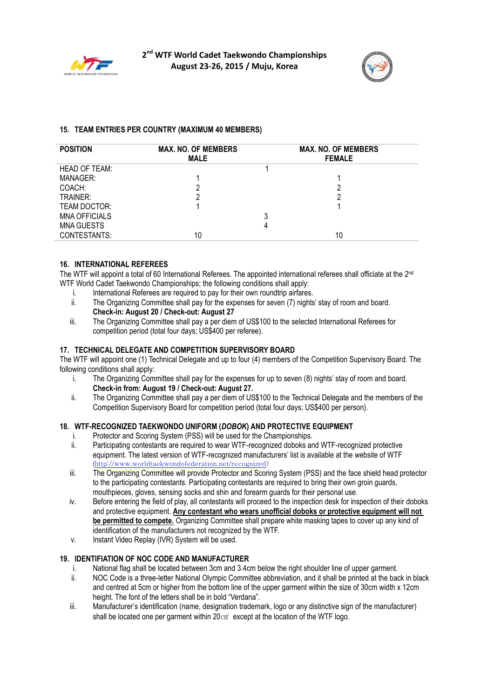



#### **15. TEAM ENTRIES PER COUNTRY (MAXIMUM 40 MEMBERS)**

| <b>POSITION</b>      | <b>MAX. NO. OF MEMBERS</b><br><b>MALE</b> | <b>MAX. NO. OF MEMBERS</b><br><b>FEMALE</b> |
|----------------------|-------------------------------------------|---------------------------------------------|
| <b>HEAD OF TEAM:</b> |                                           |                                             |
| MANAGER:             |                                           |                                             |
| COACH:               |                                           | າ                                           |
| TRAINER:             |                                           | າ                                           |
| TEAM DOCTOR:         |                                           |                                             |
| <b>MNA OFFICIALS</b> |                                           |                                             |
| <b>MNA GUESTS</b>    |                                           |                                             |
| CONTESTANTS:         | 10                                        | 10                                          |

#### **16. INTERNATIONAL REFEREES**

The WTF will appoint a total of 60 International Referees. The appointed international referees shall officiate at the 2<sup>nd</sup> WTF World Cadet Taekwondo Championships; the following conditions shall apply:

- i. International Referees are required to pay for their own roundtrip airfares.
- ii. The Organizing Committee shall pay for the expenses for seven (7) nights' stay of room and board. **Check-in: August 20 / Check-out: August 27**
- iii. The Organizing Committee shall pay a per diem of US\$100 to the selected International Referees for competition period (total four days; US\$400 per referee).

#### **17. TECHNICAL DELEGATE AND COMPETITION SUPERVISORY BOARD**

The WTF will appoint one (1) Technical Delegate and up to four (4) members of the Competition Supervisory Board. The following conditions shall apply:

- i. The Organizing Committee shall pay for the expenses for up to seven (8) nights' stay of room and board. **Check-in from: August 19 / Check-out: August 27.**
- ii. The Organizing Committee shall pay a per diem of US\$100 to the Technical Delegate and the members of the Competition Supervisory Board for competition period (total four days; US\$400 per person).

#### **18. WTF-RECOGNIZED TAEKWONDO UNIFORM (***DOBOK***) AND PROTECTIVE EQUIPMENT**

- i. Protector and Scoring System (PSS) will be used for the Championships.
- ii. Participating contestants are required to wear WTF-recognized doboks and WTF-recognized protective equipment. The latest version of WTF-recognized manufacturers' list is available at the website of WTF ([http://www.worldtaekwondofederation.net/recognized\)](http://www.worldtaekwondofederation.net/recognized)
- iii. The Organizing Committee will provide Protector and Scoring System (PSS) and the face shield head protector to the participating contestants. Participating contestants are required to bring their own groin guards, mouthpieces, gloves, sensing socks and shin and forearm guards for their personal use.
- iv. Before entering the field of play, all contestants will proceed to the inspection desk for inspection of their doboks and protective equipment. **Any contestant who wears unofficial doboks or protective equipment will not be permitted to compete.** Organizing Committee shall prepare white masking tapes to cover up any kind of identification of the manufacturers not recognized by the WTF.
- v. Instant Video Replay (IVR) System will be used.

#### **19. IDENTIFIATION OF NOC CODE AND MANUFACTURER**

- i. National flag shall be located between 3cm and 3.4cm below the right shoulder line of upper garment.
- ii. NOC Code is a three-letter National Olympic Committee abbreviation, and it shall be printed at the back in black and centred at 5cm or higher from the bottom line of the upper garment within the size of 30cm width x 12cm height. The font of the letters shall be in bold "Verdana".
- iii. Manufacturer's identification (name, designation trademark, logo or any distinctive sign of the manufacturer) shall be located one per garment within 20cm<sup>2</sup> except at the location of the WTF logo.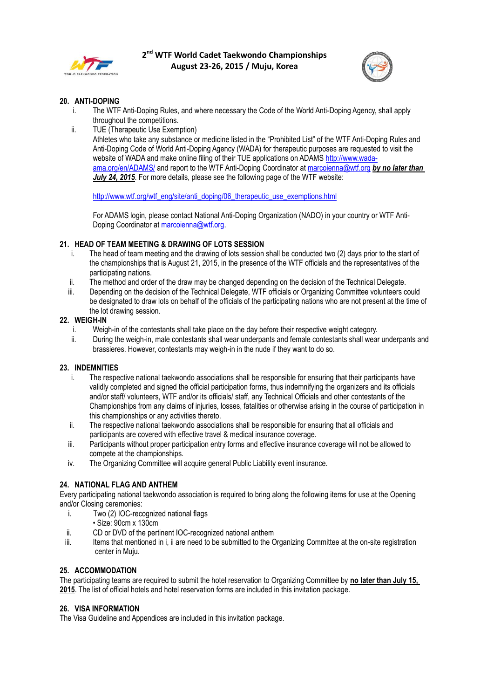



# **20. ANTI-DOPING**

- i. The WTF Anti-Doping Rules, and where necessary the Code of the World Anti-Doping Agency, shall apply throughout the competitions.
- ii. TUE (Therapeutic Use Exemption)

Athletes who take any substance or medicine listed in the "Prohibited List" of the WTF Anti-Doping Rules and Anti-Doping Code of World Anti-Doping Agency (WADA) for therapeutic purposes are requested to visit the website of WADA and make online filing of their TUE applications on ADAMS [http://www.wada](http://www.wada-ama.org/en/ADAMS/)[ama.org/en/ADAMS/](http://www.wada-ama.org/en/ADAMS/) and report to the WTF Anti-Doping Coordinator at [marcoienna@wtf.org](mailto:marcoienna@wtf.org) *by no later than July 24, 2015*. For more details, please see the following page of the WTF website:

[http://www.wtf.org/wtf\\_eng/site/anti\\_doping/06\\_therapeutic\\_use\\_exemptions.html](http://www.wtf.org/wtf_eng/site/anti_doping/06_therapeutic_use_exemptions.html)

For ADAMS login, please contact National Anti-Doping Organization (NADO) in your country or WTF AntiDoping Coordinator a[t marcoienna@wtf.org.](mailto:marcoienna@wtf.org)

## **21. HEAD OF TEAM MEETING & DRAWING OF LOTS SESSION**

- i. The head of team meeting and the drawing of lots session shall be conducted two (2) days prior to the start of the championships that is August 21, 2015, in the presence of the WTF officials and the representatives of the participating nations.
- ii. The method and order of the draw may be changed depending on the decision of the Technical Delegate.
- iii. Depending on the decision of the Technical Delegate, WTF officials or Organizing Committee volunteers could be designated to draw lots on behalf of the officials of the participating nations who are not present at the time of the lot drawing session.

# **22. WEIGH-IN**

- i. Weigh-in of the contestants shall take place on the day before their respective weight category.
- ii. During the weigh-in, male contestants shall wear underpants and female contestants shall wear underpants and brassieres. However, contestants may weigh-in in the nude if they want to do so.

## **23. INDEMNITIES**

- i. The respective national taekwondo associations shall be responsible for ensuring that their participants have validly completed and signed the official participation forms, thus indemnifying the organizers and its officials and/or staff/ volunteers, WTF and/or its officials/ staff, any Technical Officials and other contestants of the Championships from any claims of injuries, losses, fatalities or otherwise arising in the course of participation in this championships or any activities thereto.
- ii. The respective national taekwondo associations shall be responsible for ensuring that all officials and participants are covered with effective travel & medical insurance coverage.
- iii. Participants without proper participation entry forms and effective insurance coverage will not be allowed to compete at the championships.
- iv. The Organizing Committee will acquire general Public Liability event insurance.

## **24. NATIONAL FLAG AND ANTHEM**

Every participating national taekwondo association is required to bring along the following items for use at the Opening and/or Closing ceremonies:

- i. Two (2) IOC-recognized national flags
	- Size: 90cm x 130cm
- ii. CD or DVD of the pertinent IOC-recognized national anthem
- iii. Items that mentioned in i, ii are need to be submitted to the Organizing Committee at the on-site registration center in Muju.

## **25. ACCOMMODATION**

The participating teams are required to submit the hotel reservation to Organizing Committee by **no later than July 15, 2015**. The list of official hotels and hotel reservation forms are included in this invitation package.

## **26. VISA INFORMATION**

The Visa Guideline and Appendices are included in this invitation package.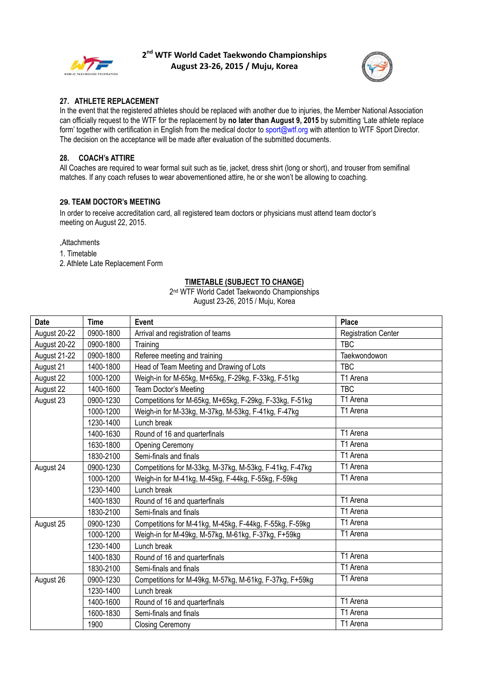



## **27. ATHLETE REPLACEMENT**

In the event that the registered athletes should be replaced with another due to injuries, the Member National Association can officially request to the WTF for the replacement by **no later than August 9, 2015** by submitting 'Late athlete replace form' together with certification in English from the medical doctor to sport@wtf.org with attention to WTF Sport Director. The decision on the acceptance will be made after evaluation of the submitted documents.

# **28. COACH's ATTIRE**

All Coaches are required to wear formal suit such as tie, jacket, dress shirt (long or short), and trouser from semifinal matches. If any coach refuses to wear abovementioned attire, he or she won't be allowing to coaching.

# 29**. TEAM DOCTOR's MEETING**

In order to receive accreditation card, all registered team doctors or physicians must attend team doctor's meeting on August 22, 2015.

.Attachments

- 1. Timetable
- 2. Athlete Late Replacement Form

## **TIMETABLE (SUBJECT TO CHANGE)**

2<sup>nd</sup> WTF World Cadet Taekwondo Championships August 23-26, 2015 / Muju, Korea

| Date         | <b>Time</b> | <b>Event</b>                                            | Place                      |
|--------------|-------------|---------------------------------------------------------|----------------------------|
| August 20-22 | 0900-1800   | Arrival and registration of teams                       | <b>Registration Center</b> |
| August 20-22 | 0900-1800   | Training                                                | <b>TBC</b>                 |
| August 21-22 | 0900-1800   | Referee meeting and training                            | Taekwondowon               |
| August 21    | 1400-1800   | Head of Team Meeting and Drawing of Lots                | <b>TBC</b>                 |
| August 22    | 1000-1200   | Weigh-in for M-65kg, M+65kg, F-29kg, F-33kg, F-51kg     | T1 Arena                   |
| August 22    | 1400-1600   | Team Doctor's Meeting                                   | <b>TBC</b>                 |
| August 23    | 0900-1230   | Competitions for M-65kg, M+65kg, F-29kg, F-33kg, F-51kg | T1 Arena                   |
|              | 1000-1200   | Weigh-in for M-33kg, M-37kg, M-53kg, F-41kg, F-47kg     | T1 Arena                   |
|              | 1230-1400   | Lunch break                                             |                            |
|              | 1400-1630   | Round of 16 and quarterfinals                           | T1 Arena                   |
|              | 1630-1800   | <b>Opening Ceremony</b>                                 | T1 Arena                   |
|              | 1830-2100   | Semi-finals and finals                                  | T1 Arena                   |
| August 24    | 0900-1230   | Competitions for M-33kg, M-37kg, M-53kg, F-41kg, F-47kg | T1 Arena                   |
|              | 1000-1200   | Weigh-in for M-41kg, M-45kg, F-44kg, F-55kg, F-59kg     | T1 Arena                   |
|              | 1230-1400   | Lunch break                                             |                            |
|              | 1400-1830   | Round of 16 and quarterfinals                           | T1 Arena                   |
|              | 1830-2100   | Semi-finals and finals                                  | T1 Arena                   |
| August 25    | 0900-1230   | Competitions for M-41kg, M-45kg, F-44kg, F-55kg, F-59kg | T1 Arena                   |
|              | 1000-1200   | Weigh-in for M-49kg, M-57kg, M-61kg, F-37kg, F+59kg     | T1 Arena                   |
|              | 1230-1400   | Lunch break                                             |                            |
|              | 1400-1830   | Round of 16 and quarterfinals                           | T1 Arena                   |
|              | 1830-2100   | Semi-finals and finals                                  | T1 Arena                   |
| August 26    | 0900-1230   | Competitions for M-49kg, M-57kg, M-61kg, F-37kg, F+59kg | T1 Arena                   |
|              | 1230-1400   | Lunch break                                             |                            |
|              | 1400-1600   | Round of 16 and quarterfinals                           | T1 Arena                   |
|              | 1600-1830   | Semi-finals and finals                                  | T1 Arena                   |
|              | 1900        | <b>Closing Ceremony</b>                                 | T1 Arena                   |